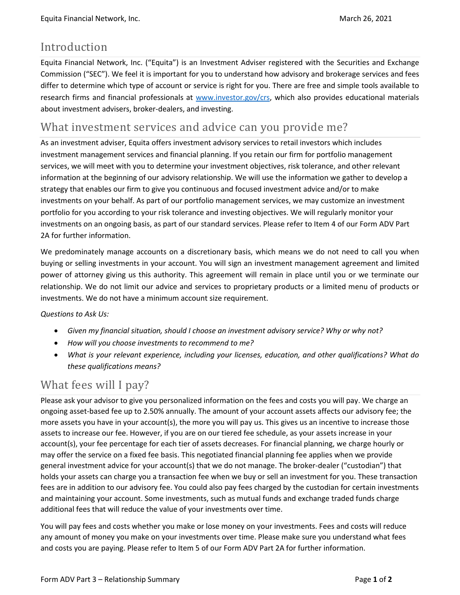## Introduction

Equita Financial Network, Inc. ("Equita") is an Investment Adviser registered with the Securities and Exchange Commission ("SEC"). We feel it is important for you to understand how advisory and brokerage services and fees differ to determine which type of account or service is right for you. There are free and simple tools available to research firms and financial professionals at [www.investor.gov/crs,](http://www.investor.gov/crs) which also provides educational materials about investment advisers, broker-dealers, and investing.

# What investment services and advice can you provide me?

As an investment adviser, Equita offers investment advisory services to retail investors which includes investment management services and financial planning. If you retain our firm for portfolio management services, we will meet with you to determine your investment objectives, risk tolerance, and other relevant information at the beginning of our advisory relationship. We will use the information we gather to develop a strategy that enables our firm to give you continuous and focused investment advice and/or to make investments on your behalf. As part of our portfolio management services, we may customize an investment portfolio for you according to your risk tolerance and investing objectives. We will regularly monitor your investments on an ongoing basis, as part of our standard services. Please refer to Item 4 of our Form ADV Part 2A for further information.

We predominately manage accounts on a discretionary basis, which means we do not need to call you when buying or selling investments in your account. You will sign an investment management agreement and limited power of attorney giving us this authority. This agreement will remain in place until you or we terminate our relationship. We do not limit our advice and services to proprietary products or a limited menu of products or investments. We do not have a minimum account size requirement.

#### *Questions to Ask Us:*

- *Given my financial situation, should I choose an investment advisory service? Why or why not?*
- *How will you choose investments to recommend to me?*
- *What is your relevant experience, including your licenses, education, and other qualifications? What do these qualifications means?*

# What fees will I pay?

Please ask your advisor to give you personalized information on the fees and costs you will pay. We charge an ongoing asset-based fee up to 2.50% annually. The amount of your account assets affects our advisory fee; the more assets you have in your account(s), the more you will pay us. This gives us an incentive to increase those assets to increase our fee. However, if you are on our tiered fee schedule, as your assets increase in your account(s), your fee percentage for each tier of assets decreases. For financial planning, we charge hourly or may offer the service on a fixed fee basis. This negotiated financial planning fee applies when we provide general investment advice for your account(s) that we do not manage. The broker-dealer ("custodian") that holds your assets can charge you a transaction fee when we buy or sell an investment for you. These transaction fees are in addition to our advisory fee. You could also pay fees charged by the custodian for certain investments and maintaining your account. Some investments, such as mutual funds and exchange traded funds charge additional fees that will reduce the value of your investments over time.

You will pay fees and costs whether you make or lose money on your investments. Fees and costs will reduce any amount of money you make on your investments over time. Please make sure you understand what fees and costs you are paying. Please refer to Item 5 of our Form ADV Part 2A for further information.